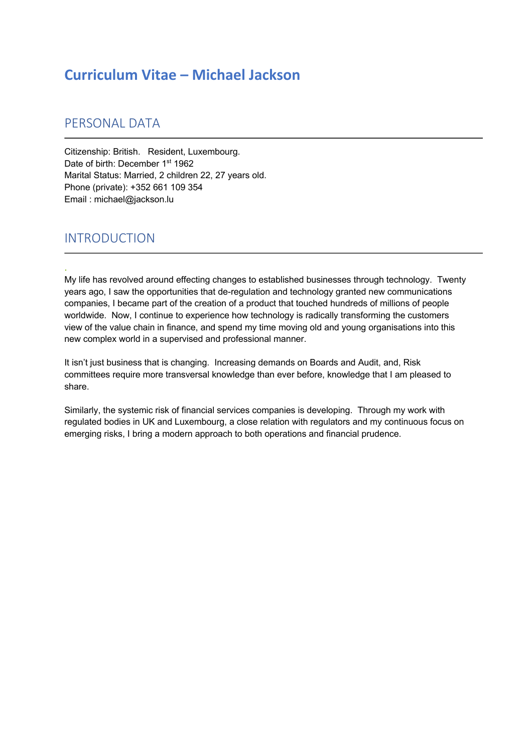# **Curriculum Vitae – Michael Jackson**

## PERSONAL DATA

Citizenship: British. Resident, Luxembourg. Date of birth: December 1<sup>st</sup> 1962 Marital Status: Married, 2 children 22, 27 years old. Phone (private): +352 661 109 354 Email : michael@jackson.lu

## INTRODUCTION

.

My life has revolved around effecting changes to established businesses through technology. Twenty years ago, I saw the opportunities that de-regulation and technology granted new communications companies, I became part of the creation of a product that touched hundreds of millions of people worldwide. Now, I continue to experience how technology is radically transforming the customers view of the value chain in finance, and spend my time moving old and young organisations into this new complex world in a supervised and professional manner.

It isn't just business that is changing. Increasing demands on Boards and Audit, and, Risk committees require more transversal knowledge than ever before, knowledge that I am pleased to share.

Similarly, the systemic risk of financial services companies is developing. Through my work with regulated bodies in UK and Luxembourg, a close relation with regulators and my continuous focus on emerging risks, I bring a modern approach to both operations and financial prudence.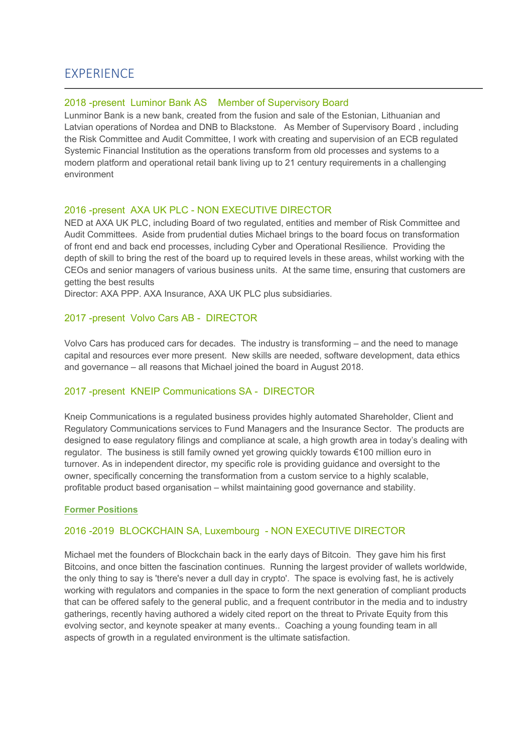## **EXPERIENCE**

### 2018 -present Luminor Bank AS Member of Supervisory Board

Lunminor Bank is a new bank, created from the fusion and sale of the Estonian, Lithuanian and Latvian operations of Nordea and DNB to Blackstone. As Member of Supervisory Board , including the Risk Committee and Audit Committee, I work with creating and supervision of an ECB regulated Systemic Financial Institution as the operations transform from old processes and systems to a modern platform and operational retail bank living up to 21 century requirements in a challenging environment

### 2016 -present AXA UK PLC - NON EXECUTIVE DIRECTOR

NED at AXA UK PLC, including Board of two regulated, entities and member of Risk Committee and Audit Committees. Aside from prudential duties Michael brings to the board focus on transformation of front end and back end processes, including Cyber and Operational Resilience. Providing the depth of skill to bring the rest of the board up to required levels in these areas, whilst working with the CEOs and senior managers of various business units. At the same time, ensuring that customers are getting the best results

Director: AXA PPP. AXA Insurance, AXA UK PLC plus subsidiaries.

### 2017 -present Volvo Cars AB - DIRECTOR

Volvo Cars has produced cars for decades. The industry is transforming – and the need to manage capital and resources ever more present. New skills are needed, software development, data ethics and governance – all reasons that Michael joined the board in August 2018.

## 2017 -present KNEIP Communications SA - DIRECTOR

Kneip Communications is a regulated business provides highly automated Shareholder, Client and Regulatory Communications services to Fund Managers and the Insurance Sector. The products are designed to ease regulatory filings and compliance at scale, a high growth area in today's dealing with regulator. The business is still family owned yet growing quickly towards €100 million euro in turnover. As in independent director, my specific role is providing guidance and oversight to the owner, specifically concerning the transformation from a custom service to a highly scalable, profitable product based organisation – whilst maintaining good governance and stability.

### **Former Positions**

## 2016 -2019 BLOCKCHAIN SA, Luxembourg - NON EXECUTIVE DIRECTOR

Michael met the founders of Blockchain back in the early days of Bitcoin. They gave him his first Bitcoins, and once bitten the fascination continues. Running the largest provider of wallets worldwide, the only thing to say is 'there's never a dull day in crypto'. The space is evolving fast, he is actively working with regulators and companies in the space to form the next generation of compliant products that can be offered safely to the general public, and a frequent contributor in the media and to industry gatherings, recently having authored a widely cited report on the threat to Private Equity from this evolving sector, and keynote speaker at many events.. Coaching a young founding team in all aspects of growth in a regulated environment is the ultimate satisfaction.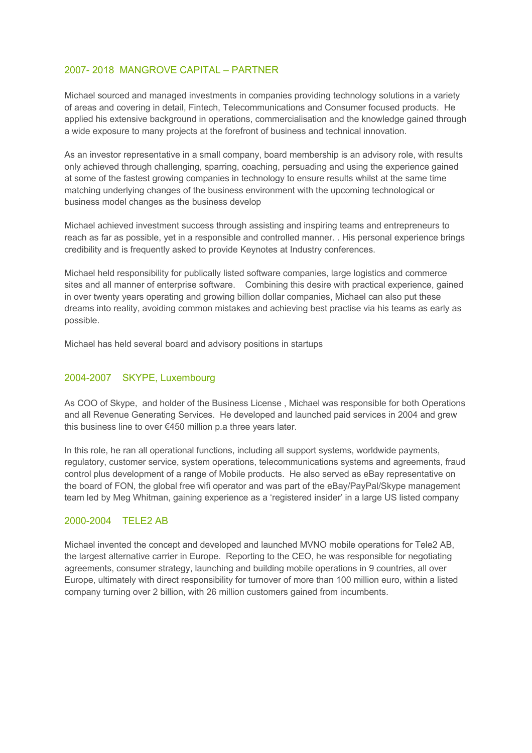## 2007- 2018 MANGROVE CAPITAL – PARTNER

Michael sourced and managed investments in companies providing technology solutions in a variety of areas and covering in detail, Fintech, Telecommunications and Consumer focused products. He applied his extensive background in operations, commercialisation and the knowledge gained through a wide exposure to many projects at the forefront of business and technical innovation.

As an investor representative in a small company, board membership is an advisory role, with results only achieved through challenging, sparring, coaching, persuading and using the experience gained at some of the fastest growing companies in technology to ensure results whilst at the same time matching underlying changes of the business environment with the upcoming technological or business model changes as the business develop

Michael achieved investment success through assisting and inspiring teams and entrepreneurs to reach as far as possible, yet in a responsible and controlled manner. . His personal experience brings credibility and is frequently asked to provide Keynotes at Industry conferences.

Michael held responsibility for publically listed software companies, large logistics and commerce sites and all manner of enterprise software. Combining this desire with practical experience, gained in over twenty years operating and growing billion dollar companies, Michael can also put these dreams into reality, avoiding common mistakes and achieving best practise via his teams as early as possible.

Michael has held several board and advisory positions in startups

## 2004-2007 SKYPE, Luxembourg

As COO of Skype, and holder of the Business License , Michael was responsible for both Operations and all Revenue Generating Services. He developed and launched paid services in 2004 and grew this business line to over €450 million p.a three years later.

In this role, he ran all operational functions, including all support systems, worldwide payments, regulatory, customer service, system operations, telecommunications systems and agreements, fraud control plus development of a range of Mobile products. He also served as eBay representative on the board of FON, the global free wifi operator and was part of the eBay/PayPal/Skype management team led by Meg Whitman, gaining experience as a 'registered insider' in a large US listed company

## 2000-2004 TELE2 AB

Michael invented the concept and developed and launched MVNO mobile operations for Tele2 AB, the largest alternative carrier in Europe. Reporting to the CEO, he was responsible for negotiating agreements, consumer strategy, launching and building mobile operations in 9 countries, all over Europe, ultimately with direct responsibility for turnover of more than 100 million euro, within a listed company turning over 2 billion, with 26 million customers gained from incumbents.